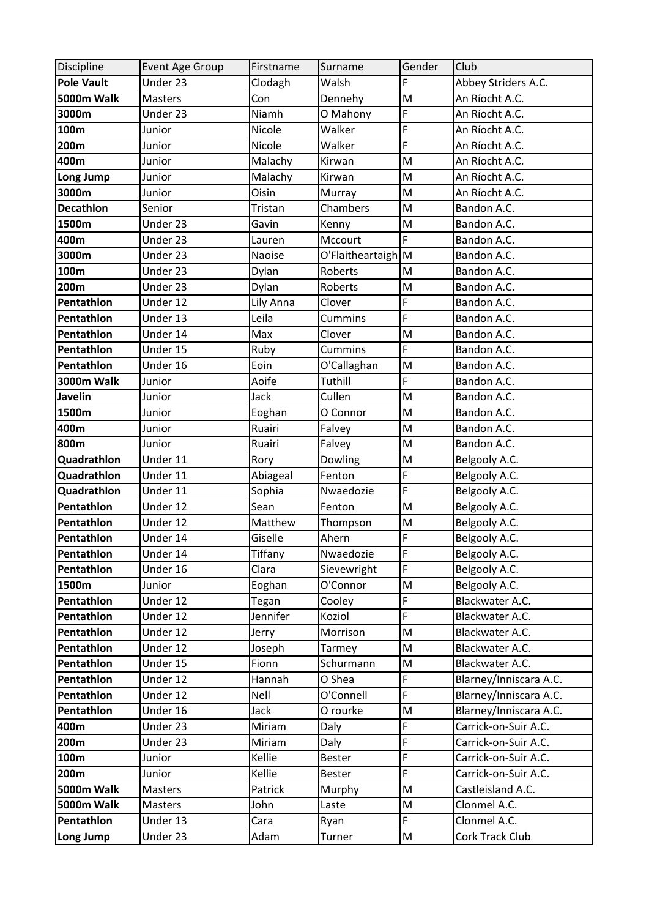| Discipline        | <b>Event Age Group</b> | Firstname | Surname            | Gender | Club                   |
|-------------------|------------------------|-----------|--------------------|--------|------------------------|
| <b>Pole Vault</b> | Under 23               | Clodagh   | Walsh              | F      | Abbey Striders A.C.    |
| <b>5000m Walk</b> | Masters                | Con       | Dennehy            | M      | An Ríocht A.C.         |
| 3000m             | Under 23               | Niamh     | O Mahony           | F      | An Ríocht A.C.         |
| 100m              | Junior                 | Nicole    | Walker             | F      | An Ríocht A.C.         |
| 200m              | Junior                 | Nicole    | Walker             | F      | An Ríocht A.C.         |
| 400m              | Junior                 | Malachy   | Kirwan             | M      | An Ríocht A.C.         |
| Long Jump         | Junior                 | Malachy   | Kirwan             | M      | An Ríocht A.C.         |
| 3000m             | Junior                 | Oisin     | Murray             | M      | An Ríocht A.C.         |
| <b>Decathlon</b>  | Senior                 | Tristan   | Chambers           | M      | Bandon A.C.            |
| 1500m             | Under 23               | Gavin     | Kenny              | M      | Bandon A.C.            |
| 400m              | Under 23               | Lauren    | Mccourt            | F      | Bandon A.C.            |
| 3000m             | Under 23               | Naoise    | O'Flaitheartaigh M |        | Bandon A.C.            |
| 100m              | Under 23               | Dylan     | Roberts            | M      | Bandon A.C.            |
| 200m              | Under 23               | Dylan     | Roberts            | M      | Bandon A.C.            |
| Pentathlon        | Under 12               | Lily Anna | Clover             | F      | Bandon A.C.            |
| Pentathlon        | Under 13               | Leila     | Cummins            | F      | Bandon A.C.            |
| Pentathlon        | Under 14               | Max       | Clover             | M      | Bandon A.C.            |
| Pentathlon        | Under 15               | Ruby      | Cummins            | F      | Bandon A.C.            |
| Pentathlon        | Under 16               | Eoin      | O'Callaghan        | M      | Bandon A.C.            |
| <b>3000m Walk</b> | Junior                 | Aoife     | Tuthill            | F      | Bandon A.C.            |
| <b>Javelin</b>    | Junior                 | Jack      | Cullen             | M      | Bandon A.C.            |
| 1500m             | Junior                 | Eoghan    | O Connor           | M      | Bandon A.C.            |
| 400m              | Junior                 | Ruairi    | Falvey             | M      | Bandon A.C.            |
| 800m              | Junior                 | Ruairi    | Falvey             | M      | Bandon A.C.            |
| Quadrathlon       | Under 11               | Rory      | Dowling            | M      | Belgooly A.C.          |
| Quadrathlon       | Under 11               | Abiageal  | Fenton             | F      | Belgooly A.C.          |
| Quadrathlon       | Under 11               | Sophia    | Nwaedozie          | F      | Belgooly A.C.          |
| Pentathlon        | Under 12               | Sean      | Fenton             | M      | Belgooly A.C.          |
| Pentathlon        | Under 12               | Matthew   | Thompson           | M      | Belgooly A.C.          |
| Pentathlon        | Under 14               | Giselle   | Ahern              | F      | Belgooly A.C.          |
| Pentathlon        | Under 14               | Tiffany   | Nwaedozie          | F      | Belgooly A.C.          |
| Pentathlon        | Under 16               | Clara     | Sievewright        | F      | Belgooly A.C.          |
| 1500m             | Junior                 | Eoghan    | O'Connor           | M      | Belgooly A.C.          |
| Pentathlon        | Under 12               | Tegan     | Cooley             | F      | Blackwater A.C.        |
| Pentathlon        | Under 12               | Jennifer  | Koziol             | F      | Blackwater A.C.        |
| Pentathlon        | Under 12               | Jerry     | Morrison           | M      | Blackwater A.C.        |
| Pentathlon        | Under 12               | Joseph    | Tarmey             | M      | Blackwater A.C.        |
| Pentathlon        | Under 15               | Fionn     | Schurmann          | M      | Blackwater A.C.        |
| Pentathlon        | Under 12               | Hannah    | O Shea             | F      | Blarney/Inniscara A.C. |
| Pentathlon        | Under 12               | Nell      | O'Connell          | F      | Blarney/Inniscara A.C. |
| Pentathlon        | Under 16               | Jack      | O rourke           | M      | Blarney/Inniscara A.C. |
| 400m              | Under 23               | Miriam    | Daly               | F      | Carrick-on-Suir A.C.   |
| 200m              | Under 23               | Miriam    | Daly               | F      | Carrick-on-Suir A.C.   |
| 100m              | Junior                 | Kellie    | <b>Bester</b>      | F      | Carrick-on-Suir A.C.   |
| 200m              | Junior                 | Kellie    | Bester             | F      | Carrick-on-Suir A.C.   |
| 5000m Walk        | Masters                | Patrick   | Murphy             | M      | Castleisland A.C.      |
| <b>5000m Walk</b> | Masters                | John      | Laste              | M      | Clonmel A.C.           |
| Pentathlon        | Under 13               | Cara      | Ryan               | F      | Clonmel A.C.           |
| Long Jump         | Under 23               | Adam      | Turner             | M      | Cork Track Club        |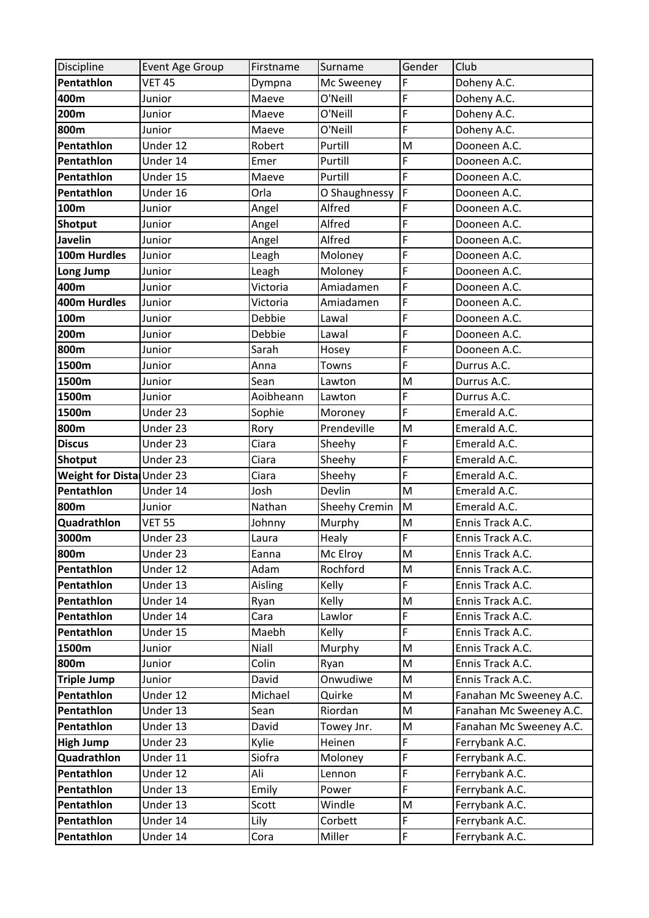| Discipline                | Event Age Group | Firstname | Surname       | Gender | Club                    |
|---------------------------|-----------------|-----------|---------------|--------|-------------------------|
| Pentathlon                | <b>VET 45</b>   | Dympna    | Mc Sweeney    | F      | Doheny A.C.             |
| 400m                      | Junior          | Maeve     | O'Neill       | F      | Doheny A.C.             |
| 200m                      | Junior          | Maeve     | O'Neill       | F      | Doheny A.C.             |
| 800m                      | Junior          | Maeve     | O'Neill       | F      | Doheny A.C.             |
| Pentathlon                | Under 12        | Robert    | Purtill       | M      | Dooneen A.C.            |
| Pentathlon                | Under 14        | Emer      | Purtill       | F      | Dooneen A.C.            |
| Pentathlon                | Under 15        | Maeve     | Purtill       | F      | Dooneen A.C.            |
| Pentathlon                | Under 16        | Orla      | O Shaughnessy | F      | Dooneen A.C.            |
| 100m                      | Junior          | Angel     | Alfred        | F      | Dooneen A.C.            |
| Shotput                   | Junior          | Angel     | Alfred        | F      | Dooneen A.C.            |
| <b>Javelin</b>            | Junior          | Angel     | Alfred        | F      | Dooneen A.C.            |
| 100m Hurdles              | Junior          | Leagh     | Moloney       | F      | Dooneen A.C.            |
| Long Jump                 | Junior          | Leagh     | Moloney       | F      | Dooneen A.C.            |
| 400m                      | Junior          | Victoria  | Amiadamen     | F      | Dooneen A.C.            |
| 400m Hurdles              | Junior          | Victoria  | Amiadamen     | F      | Dooneen A.C.            |
| 100m                      | Junior          | Debbie    | Lawal         | F      | Dooneen A.C.            |
| 200m                      | Junior          | Debbie    | Lawal         | F      | Dooneen A.C.            |
| 800m                      | Junior          | Sarah     | Hosey         | F      | Dooneen A.C.            |
| 1500m                     | Junior          | Anna      | Towns         | F      | Durrus A.C.             |
| 1500m                     | Junior          | Sean      | Lawton        | M      | Durrus A.C.             |
| 1500m                     | Junior          | Aoibheann | Lawton        | F      | Durrus A.C.             |
| 1500m                     | Under 23        | Sophie    | Moroney       | F      | Emerald A.C.            |
| 800m                      | Under 23        | Rory      | Prendeville   | M      | Emerald A.C.            |
| <b>Discus</b>             | Under 23        | Ciara     | Sheehy        | F      | Emerald A.C.            |
| Shotput                   | Under 23        | Ciara     | Sheehy        | F      | Emerald A.C.            |
| Weight for Dista Under 23 |                 | Ciara     | Sheehy        | F      | Emerald A.C.            |
| Pentathlon                | Under 14        | Josh      | Devlin        | M      | Emerald A.C.            |
| 800m                      | Junior          | Nathan    | Sheehy Cremin | M      | Emerald A.C.            |
| Quadrathlon               | <b>VET 55</b>   | Johnny    | Murphy        | M      | Ennis Track A.C.        |
| 3000m                     | Under 23        | Laura     | Healy         | F      | Ennis Track A.C.        |
| 800m                      | Under 23        | Eanna     | Mc Elroy      | M      | Ennis Track A.C.        |
| Pentathlon                | Under 12        | Adam      | Rochford      | M      | Ennis Track A.C.        |
| Pentathlon                | Under 13        | Aisling   | Kelly         | F      | Ennis Track A.C.        |
| Pentathlon                | Under 14        | Ryan      | Kelly         | M      | Ennis Track A.C.        |
| Pentathlon                | Under 14        | Cara      | Lawlor        | F      | Ennis Track A.C.        |
| Pentathlon                | Under 15        | Maebh     | Kelly         | F      | Ennis Track A.C.        |
| 1500m                     | Junior          | Niall     | Murphy        | M      | Ennis Track A.C.        |
| 800m                      | Junior          | Colin     | Ryan          | M      | Ennis Track A.C.        |
| <b>Triple Jump</b>        | Junior          | David     | Onwudiwe      | M      | Ennis Track A.C.        |
| Pentathlon                | Under 12        | Michael   | Quirke        | M      | Fanahan Mc Sweeney A.C. |
| Pentathlon                | Under 13        | Sean      | Riordan       | M      | Fanahan Mc Sweeney A.C. |
| Pentathlon                | Under 13        | David     | Towey Jnr.    | M      | Fanahan Mc Sweeney A.C. |
| <b>High Jump</b>          | Under 23        | Kylie     | Heinen        | F      | Ferrybank A.C.          |
| Quadrathlon               | Under 11        | Siofra    | Moloney       | F      | Ferrybank A.C.          |
| Pentathlon                | Under 12        | Ali       | Lennon        | F      | Ferrybank A.C.          |
| Pentathlon                | Under 13        | Emily     | Power         | F      | Ferrybank A.C.          |
| Pentathlon                | Under 13        | Scott     | Windle        | M      | Ferrybank A.C.          |
| Pentathlon                | Under 14        | Lily      | Corbett       | F      | Ferrybank A.C.          |
| Pentathlon                | Under 14        | Cora      | Miller        | F      | Ferrybank A.C.          |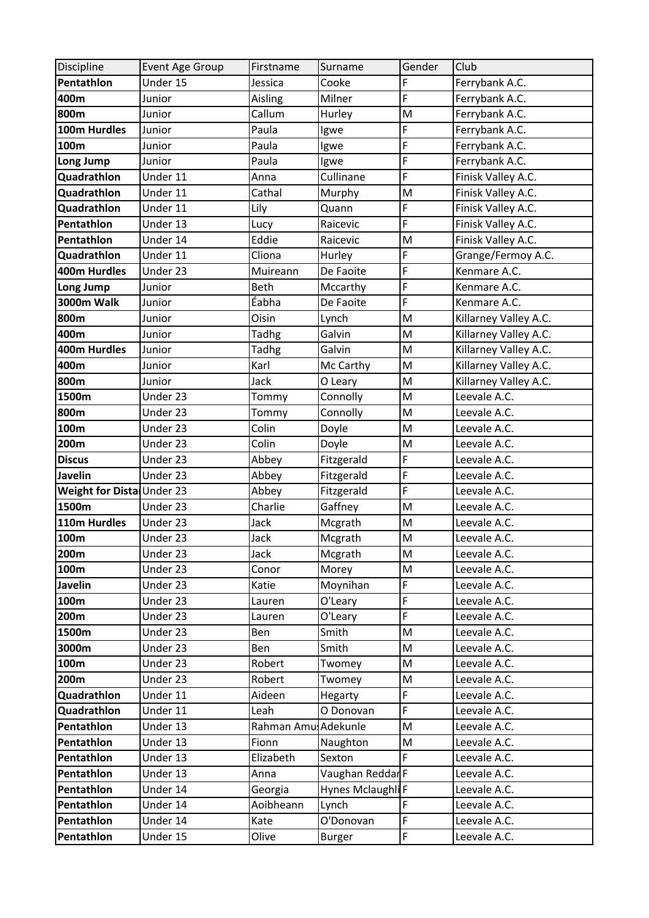| Discipline                | Event Age Group        | Firstname           | Surname           | Gender | Club                  |
|---------------------------|------------------------|---------------------|-------------------|--------|-----------------------|
| Pentathlon                | Under 15               | Jessica             | Cooke             | F      | Ferrybank A.C.        |
| 400m                      | Junior                 | Aisling             | Milner            | F      | Ferrybank A.C.        |
| 800m                      | Junior                 | Callum              | Hurley            | M      | Ferrybank A.C.        |
| 100m Hurdles              | Junior                 | Paula               | Igwe              | F      | Ferrybank A.C.        |
| 100m                      | Junior                 | Paula               | Igwe              | F      | Ferrybank A.C.        |
| Long Jump                 | Junior                 | Paula               | Igwe              | F      | Ferrybank A.C.        |
| Quadrathlon               | Under 11               | Anna                | Cullinane         | F      | Finisk Valley A.C.    |
| Quadrathlon               | Under 11               | Cathal              | Murphy            | M      | Finisk Valley A.C.    |
| Quadrathlon               | Under 11               | Lily                | Quann             | F      | Finisk Valley A.C.    |
| Pentathlon                | Under 13               | Lucy                | Raicevic          | F      | Finisk Valley A.C.    |
| Pentathlon                | Under 14               | Eddie               | Raicevic          | M      | Finisk Valley A.C.    |
| Quadrathlon               | Under 11               | Cliona              | Hurley            | F      | Grange/Fermoy A.C.    |
| 400m Hurdles              | Under 23               | Muireann            | De Faoite         | F      | Kenmare A.C.          |
| Long Jump                 | Junior                 | Beth                | Mccarthy          | F      | Kenmare A.C.          |
| <b>3000m Walk</b>         | Junior                 | Éabha               | De Faoite         | F      | Kenmare A.C.          |
| 800m                      | Junior                 | Oisin               | Lynch             | M      | Killarney Valley A.C. |
| 400m                      | Junior                 | Tadhg               | Galvin            | M      | Killarney Valley A.C. |
| 400m Hurdles              | Junior                 | <b>Tadhg</b>        | Galvin            | M      | Killarney Valley A.C. |
| 400m                      | Junior                 | Karl                | Mc Carthy         | M      | Killarney Valley A.C. |
| 800m                      | Junior                 | Jack                | O Leary           | M      | Killarney Valley A.C. |
| 1500m                     | Under 23               | Tommy               | Connolly          | M      | Leevale A.C.          |
| 800m                      | Under 23               | Tommy               | Connolly          | M      | Leevale A.C.          |
| 100m                      | $\overline{U}$ nder 23 | Colin               | Doyle             | M      | Leevale A.C.          |
| 200m                      | Under 23               | Colin               | Doyle             | M      | Leevale A.C.          |
| <b>Discus</b>             | Under 23               | Abbey               | Fitzgerald        | F      | Leevale A.C.          |
| <b>Javelin</b>            | Under 23               | Abbey               | Fitzgerald        | F      | Leevale A.C.          |
| Weight for Dista Under 23 |                        | Abbey               | Fitzgerald        | F      | Leevale A.C.          |
| 1500m                     | Under 23               | Charlie             | Gaffney           | M      | Leevale A.C.          |
| 110m Hurdles              | Under 23               | Jack                | Mcgrath           | M      | Leevale A.C.          |
| 100m                      | Under 23               | Jack                | Mcgrath           | M      | Leevale A.C.          |
| 200m                      | Under 23               | Jack                | Mcgrath           | M      | Leevale A.C.          |
| 100m                      | Under 23               | Conor               | Morey             | M      | Leevale A.C.          |
| Javelin                   | Under 23               | Katie               | Moynihan          | F      | Leevale A.C.          |
| 100m                      | Under 23               | Lauren              | O'Leary           | F      | Leevale A.C.          |
| 200m                      | Under 23               | Lauren              | O'Leary           | F      | Leevale A.C.          |
| 1500m                     | Under 23               | Ben                 | Smith             | M      | Leevale A.C.          |
| 3000m                     | Under 23               | Ben                 | Smith             | M      | Leevale A.C.          |
| 100m                      | Under 23               | Robert              | Twomey            | M      | Leevale A.C.          |
| 200m                      | Under 23               | Robert              | Twomey            | M      | Leevale A.C.          |
| Quadrathlon               | Under 11               | Aideen              | Hegarty           | F      | Leevale A.C.          |
| Quadrathlon               | Under 11               | Leah                | O Donovan         | F      | Leevale A.C.          |
| Pentathlon                | Under 13               | Rahman Amu Adekunle |                   | M      | Leevale A.C.          |
| Pentathlon                | Under 13               | Fionn               | Naughton          | M      | Leevale A.C.          |
| Pentathlon                | Under 13               | Elizabeth           | Sexton            | F      | Leevale A.C.          |
| Pentathlon                | Under 13               | Anna                | Vaughan ReddarF   |        | Leevale A.C.          |
| Pentathlon                | Under 14               | Georgia             | Hynes Mclaughli F |        | Leevale A.C.          |
| Pentathlon                | Under 14               | Aoibheann           | Lynch             | F      | Leevale A.C.          |
| Pentathlon                | Under 14               | Kate                | O'Donovan         | F      | Leevale A.C.          |
| Pentathlon                | Under 15               | Olive               | <b>Burger</b>     | F      | Leevale A.C.          |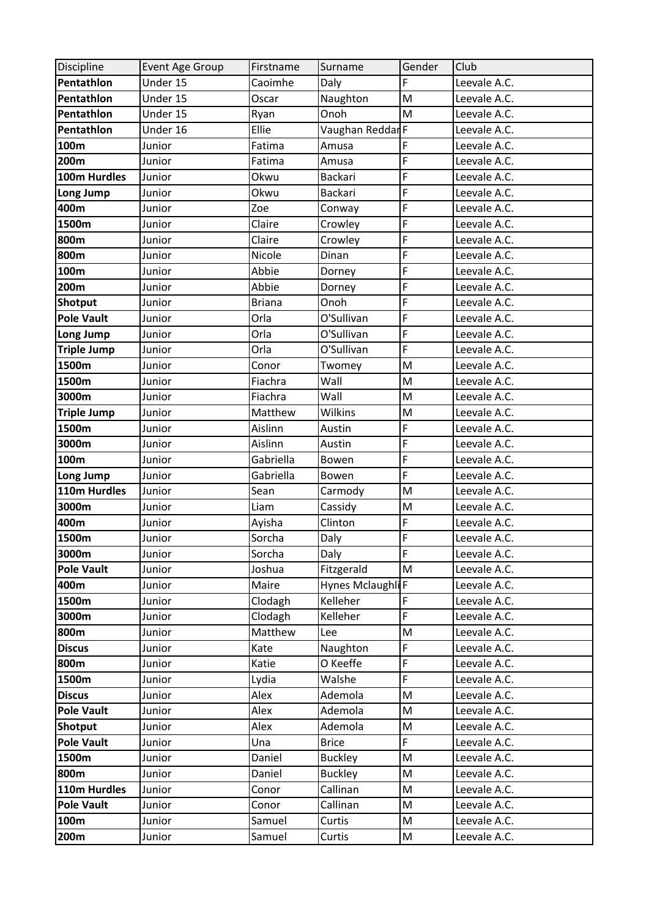| Discipline         | Event Age Group | Firstname     | Surname                      | Gender | Club         |
|--------------------|-----------------|---------------|------------------------------|--------|--------------|
| Pentathlon         | Under 15        | Caoimhe       | Daly                         | F      | Leevale A.C. |
| Pentathlon         | Under 15        | Oscar         | Naughton                     | M      | Leevale A.C. |
| Pentathlon         | Under 15        | Ryan          | Onoh                         | M      | Leevale A.C. |
| Pentathlon         | Under 16        | Ellie         | Vaughan ReddarF              |        | Leevale A.C. |
| 100m               | Junior          | Fatima        | Amusa                        | F      | Leevale A.C. |
| 200m               | Junior          | Fatima        | Amusa                        | F      | Leevale A.C. |
| 100m Hurdles       | Junior          | Okwu          | <b>Backari</b>               | F      | Leevale A.C. |
| Long Jump          | Junior          | Okwu          | Backari                      | F      | Leevale A.C. |
| 400m               | Junior          | Zoe           | Conway                       | F      | Leevale A.C. |
| 1500m              | Junior          | Claire        | Crowley                      | F      | Leevale A.C. |
| 800m               | Junior          | Claire        | Crowley                      | F      | Leevale A.C. |
| 800m               | Junior          | Nicole        | Dinan                        | F      | Leevale A.C. |
| 100m               | Junior          | Abbie         | Dorney                       | F      | Leevale A.C. |
| 200m               | Junior          | Abbie         | Dorney                       | F      | Leevale A.C. |
| <b>Shotput</b>     | Junior          | <b>Briana</b> | Onoh                         | F      | Leevale A.C. |
| <b>Pole Vault</b>  | Junior          | Orla          | O'Sullivan                   | F      | Leevale A.C. |
| Long Jump          | Junior          | Orla          | O'Sullivan                   | F      | Leevale A.C. |
| <b>Triple Jump</b> | Junior          | Orla          | O'Sullivan                   | F      | Leevale A.C. |
| 1500m              | Junior          | Conor         | Twomey                       | M      | Leevale A.C. |
| 1500m              | Junior          | Fiachra       | Wall                         | M      | Leevale A.C. |
| 3000m              | Junior          | Fiachra       | Wall                         | M      | Leevale A.C. |
| <b>Triple Jump</b> | Junior          | Matthew       | Wilkins                      | M      | Leevale A.C. |
| 1500m              | Junior          | Aislinn       | Austin                       | F      | Leevale A.C. |
| 3000m              | Junior          | Aislinn       | Austin                       | F      | Leevale A.C. |
| 100m               | Junior          | Gabriella     | Bowen                        | F      | Leevale A.C. |
| Long Jump          | Junior          | Gabriella     | Bowen                        | F      | Leevale A.C. |
| 110m Hurdles       | Junior          | Sean          | Carmody                      | M      | Leevale A.C. |
| 3000m              | Junior          | Liam          | Cassidy                      | M      | Leevale A.C. |
| 400m               | Junior          | Ayisha        | Clinton                      | F      | Leevale A.C. |
| 1500m              | Junior          | Sorcha        | Daly                         | F      | Leevale A.C. |
| 3000m              | Junior          | Sorcha        | Daly                         | F      | Leevale A.C. |
| <b>Pole Vault</b>  | Junior          | Joshua        | Fitzgerald                   | M      | Leevale A.C. |
| 400m               | Junior          | Maire         | Hynes Mclaughli <sup>F</sup> |        | Leevale A.C. |
| 1500m              | Junior          | Clodagh       | Kelleher                     | F      | Leevale A.C. |
| 3000m              | Junior          | Clodagh       | Kelleher                     | F      | Leevale A.C. |
| 800m               | Junior          | Matthew       | Lee                          | M      | Leevale A.C. |
| <b>Discus</b>      | Junior          | Kate          | Naughton                     | F      | Leevale A.C. |
| 800m               | Junior          | Katie         | O Keeffe                     | F      | Leevale A.C. |
| 1500m              | Junior          | Lydia         | Walshe                       | F      | Leevale A.C. |
| <b>Discus</b>      | Junior          | Alex          | Ademola                      | M      | Leevale A.C. |
| <b>Pole Vault</b>  | Junior          | Alex          | Ademola                      | M      | Leevale A.C. |
| Shotput            | Junior          | Alex          | Ademola                      | M      | Leevale A.C. |
| <b>Pole Vault</b>  | Junior          | Una           | <b>Brice</b>                 | F      | Leevale A.C. |
| 1500m              | Junior          | Daniel        | <b>Buckley</b>               | M      | Leevale A.C. |
| 800m               | Junior          | Daniel        | <b>Buckley</b>               | M      | Leevale A.C. |
| 110m Hurdles       | Junior          | Conor         | Callinan                     | M      | Leevale A.C. |
| <b>Pole Vault</b>  | Junior          | Conor         | Callinan                     | M      | Leevale A.C. |
| 100m               | Junior          | Samuel        | Curtis                       | M      | Leevale A.C. |
| 200m               | Junior          | Samuel        | Curtis                       | M      | Leevale A.C. |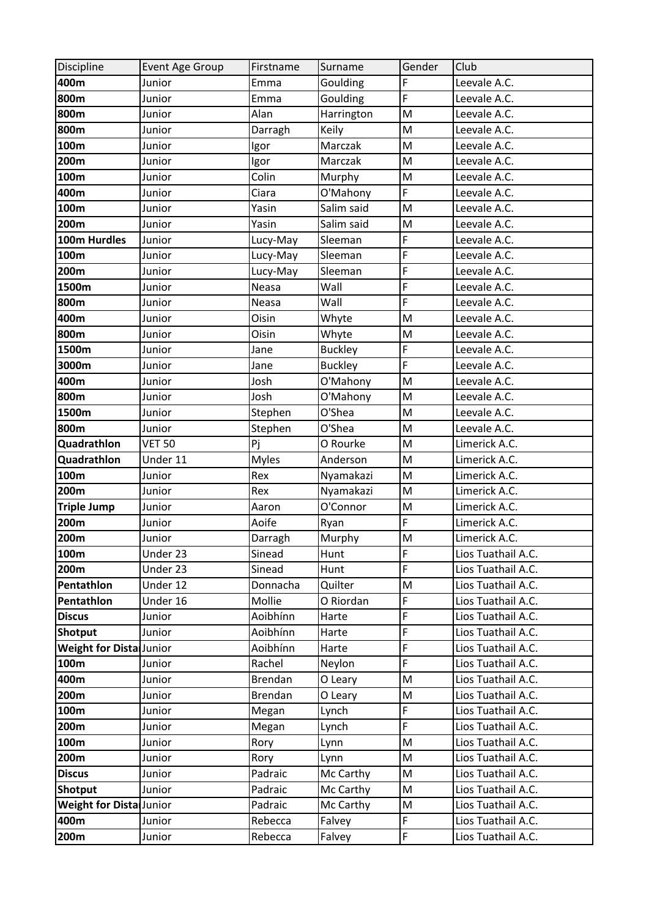| Discipline                      | Event Age Group | Firstname      | Surname        | Gender | Club               |
|---------------------------------|-----------------|----------------|----------------|--------|--------------------|
| 400m                            | Junior          | Emma           | Goulding       | F      | Leevale A.C.       |
| 800m                            | Junior          | Emma           | Goulding       | F      | Leevale A.C.       |
| 800m                            | Junior          | Alan           | Harrington     | M      | Leevale A.C.       |
| 800m                            | Junior          | Darragh        | Keily          | M      | Leevale A.C.       |
| 100m                            | Junior          | Igor           | Marczak        | M      | Leevale A.C.       |
| 200m                            | Junior          | Igor           | Marczak        | M      | Leevale A.C.       |
| 100m                            | Junior          | Colin          | Murphy         | M      | Leevale A.C.       |
| 400m                            | Junior          | Ciara          | O'Mahony       | F      | Leevale A.C.       |
| 100m                            | Junior          | Yasin          | Salim said     | M      | Leevale A.C.       |
| 200m                            | Junior          | Yasin          | Salim said     | M      | Leevale A.C.       |
| 100m Hurdles                    | Junior          | Lucy-May       | Sleeman        | F      | Leevale A.C.       |
| 100m                            | Junior          | Lucy-May       | Sleeman        | F      | Leevale A.C.       |
| 200m                            | Junior          | Lucy-May       | Sleeman        | F      | Leevale A.C.       |
| 1500m                           | Junior          | Neasa          | Wall           | F      | Leevale A.C.       |
| 800m                            | Junior          | Neasa          | Wall           | F      | Leevale A.C.       |
| 400m                            | Junior          | Oisin          | Whyte          | M      | Leevale A.C.       |
| 800m                            | Junior          | Oisin          | Whyte          | M      | Leevale A.C.       |
| 1500m                           | Junior          | Jane           | <b>Buckley</b> | F      | Leevale A.C.       |
| 3000m                           | Junior          | Jane           | <b>Buckley</b> | F      | Leevale A.C.       |
| 400m                            | Junior          | Josh           | O'Mahony       | M      | Leevale A.C.       |
| 800m                            | Junior          | Josh           | O'Mahony       | M      | Leevale A.C.       |
| 1500m                           | Junior          | Stephen        | O'Shea         | M      | Leevale A.C.       |
| 800m                            | Junior          | Stephen        | O'Shea         | M      | Leevale A.C.       |
| Quadrathlon                     | <b>VET 50</b>   | Pj             | O Rourke       | M      | Limerick A.C.      |
| Quadrathlon                     | Under 11        | <b>Myles</b>   | Anderson       | M      | Limerick A.C.      |
| 100m                            | Junior          | Rex            | Nyamakazi      | M      | Limerick A.C.      |
| 200m                            | Junior          | Rex            | Nyamakazi      | M      | Limerick A.C.      |
| <b>Triple Jump</b>              | Junior          | Aaron          | O'Connor       | M      | Limerick A.C.      |
| 200m                            | Junior          | Aoife          | Ryan           | F      | Limerick A.C.      |
| 200m                            | Junior          | Darragh        | Murphy         | M      | Limerick A.C.      |
| 100m                            | Under 23        | Sinead         | Hunt           | F      | Lios Tuathail A.C. |
| 200m                            | Under 23        | Sinead         | Hunt           | F      | Lios Tuathail A.C. |
| Pentathlon                      | Under 12        | Donnacha       | Quilter        | M      | Lios Tuathail A.C. |
| Pentathlon                      | Under 16        | Mollie         | O Riordan      | F      | Lios Tuathail A.C. |
| <b>Discus</b>                   | Junior          | Aoibhínn       | Harte          | F      | Lios Tuathail A.C. |
| Shotput                         | Junior          | Aoibhínn       | Harte          | F      | Lios Tuathail A.C. |
| Weight for Dista Junior         |                 | Aoibhínn       | Harte          | F      | Lios Tuathail A.C. |
| 100m                            | Junior          | Rachel         | Neylon         | F      | Lios Tuathail A.C. |
| 400m                            | Junior          | <b>Brendan</b> | O Leary        | M      | Lios Tuathail A.C. |
| 200m                            | Junior          | Brendan        | O Leary        | M      | Lios Tuathail A.C. |
| 100m                            | Junior          | Megan          | Lynch          | F      | Lios Tuathail A.C. |
| 200m                            | Junior          | Megan          | Lynch          | F      | Lios Tuathail A.C. |
| 100m                            | Junior          | Rory           | Lynn           | M      | Lios Tuathail A.C. |
| 200m                            | Junior          | Rory           | Lynn           | M      | Lios Tuathail A.C. |
| <b>Discus</b>                   | Junior          | Padraic        | Mc Carthy      | M      | Lios Tuathail A.C. |
| Shotput                         | Junior          | Padraic        | Mc Carthy      | M      | Lios Tuathail A.C. |
| <b>Weight for Distal Junior</b> |                 | Padraic        | Mc Carthy      | M      | Lios Tuathail A.C. |
| 400m                            | Junior          | Rebecca        | Falvey         | F      | Lios Tuathail A.C. |
| 200m                            | Junior          | Rebecca        | Falvey         | F      | Lios Tuathail A.C. |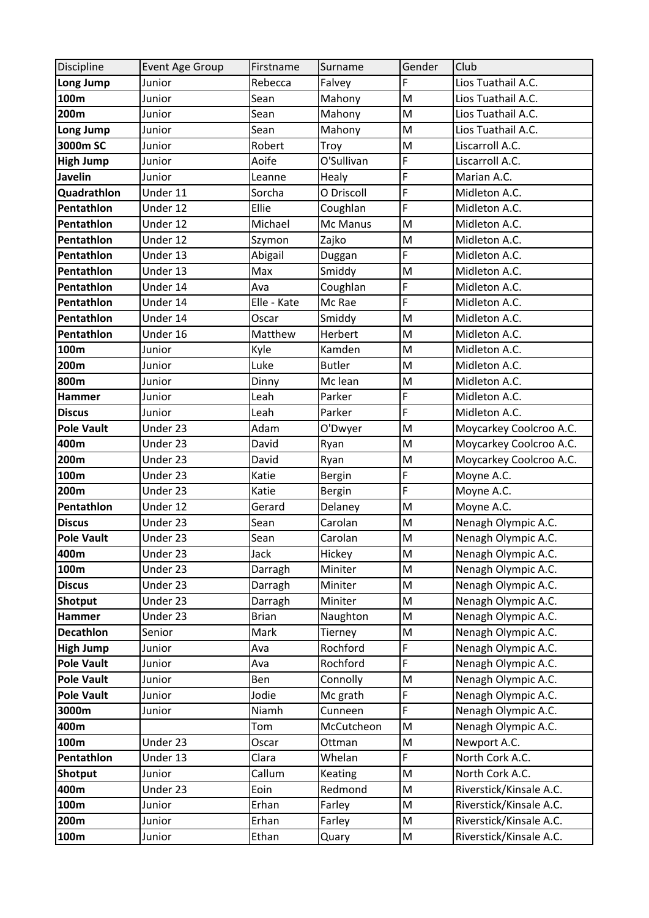| Discipline                 | Event Age Group    | Firstname            | Surname             | Gender                                                                                | Club                                       |
|----------------------------|--------------------|----------------------|---------------------|---------------------------------------------------------------------------------------|--------------------------------------------|
| Long Jump                  | Junior             | Rebecca              | Falvey              | F                                                                                     | Lios Tuathail A.C.                         |
| 100m                       | Junior             | Sean                 | Mahony              | $\mathsf{M}$                                                                          | Lios Tuathail A.C.                         |
| 200m                       | Junior             | Sean                 | Mahony              | $\mathsf{M}% _{T}=\mathsf{M}_{T}\!\left( a,b\right) ,\ \mathsf{M}_{T}=\mathsf{M}_{T}$ | Lios Tuathail A.C.                         |
| Long Jump                  | Junior             | Sean                 | Mahony              | M                                                                                     | Lios Tuathail A.C.                         |
| 3000m SC                   | Junior             | Robert               | Troy                | M                                                                                     | Liscarroll A.C.                            |
| <b>High Jump</b>           | Junior             | Aoife                | O'Sullivan          | F                                                                                     | Liscarroll A.C.                            |
| <b>Javelin</b>             | Junior             | Leanne               | Healy               | F                                                                                     | Marian A.C.                                |
| Quadrathlon                | Under 11           | Sorcha               | O Driscoll          | F                                                                                     | Midleton A.C.                              |
| Pentathlon                 | Under 12           | Ellie                | Coughlan            | F                                                                                     | Midleton A.C.                              |
| Pentathlon                 | Under 12           | Michael              | Mc Manus            | M                                                                                     | Midleton A.C.                              |
| Pentathlon                 | Under 12           | Szymon               | Zajko               | M                                                                                     | Midleton A.C.                              |
| Pentathlon                 | Under 13           | Abigail              | Duggan              | F                                                                                     | Midleton A.C.                              |
| Pentathlon                 | Under 13           | Max                  | Smiddy              | $\mathsf{M}% _{T}=\mathsf{M}_{T}\!\left( a,b\right) ,\ \mathsf{M}_{T}=\mathsf{M}_{T}$ | Midleton A.C.                              |
| Pentathlon                 | Under 14           | Ava                  | Coughlan            | F                                                                                     | Midleton A.C.                              |
| Pentathlon                 | Under 14           | Elle - Kate          | Mc Rae              | F                                                                                     | Midleton A.C.                              |
| Pentathlon                 | Under 14           | Oscar                | Smiddy              | M                                                                                     | Midleton A.C.                              |
| Pentathlon                 | Under 16           | Matthew              | Herbert             | M                                                                                     | Midleton A.C.                              |
| 100m                       | Junior             | Kyle                 | Kamden              | M                                                                                     | Midleton A.C.                              |
| 200m                       | Junior             | Luke                 | <b>Butler</b>       | M                                                                                     | Midleton A.C.                              |
| 800m                       | Junior             | Dinny                | Mc lean             | M                                                                                     | Midleton A.C.                              |
| <b>Hammer</b>              | Junior             | Leah                 | Parker              | F                                                                                     | Midleton A.C.                              |
| <b>Discus</b>              | Junior             | Leah                 | Parker              | F                                                                                     | Midleton A.C.                              |
| <b>Pole Vault</b>          | Under 23           | Adam                 | O'Dwyer             | $\mathsf{M}% _{T}=\mathsf{M}_{T}\!\left( a,b\right) ,\ \mathsf{M}_{T}=\mathsf{M}_{T}$ | Moycarkey Coolcroo A.C.                    |
| 400m                       | Under 23           | David                | Ryan                | M                                                                                     | Moycarkey Coolcroo A.C.                    |
| 200m                       | Under 23           | David                | Ryan                | M                                                                                     | Moycarkey Coolcroo A.C.                    |
| 100m                       | Under 23           | Katie                | <b>Bergin</b>       | F                                                                                     | Moyne A.C.                                 |
| 200m                       | Under 23           | Katie                | <b>Bergin</b>       | F                                                                                     | Moyne A.C.                                 |
| Pentathlon                 | Under 12           | Gerard               | Delaney             | $\mathsf{M}% _{T}=\mathsf{M}_{T}\!\left( a,b\right) ,\ \mathsf{M}_{T}=\mathsf{M}_{T}$ | Moyne A.C.                                 |
| <b>Discus</b>              | Under 23           | Sean                 | Carolan             | M                                                                                     | Nenagh Olympic A.C.                        |
| <b>Pole Vault</b>          | Under 23           | Sean                 | Carolan             | M                                                                                     | Nenagh Olympic A.C.                        |
| 400m                       | Under 23           | Jack                 | Hickey              | M                                                                                     | Nenagh Olympic A.C.                        |
| 100m                       | Under 23           | Darragh              | Miniter             | M                                                                                     | Nenagh Olympic A.C.                        |
| <b>Discus</b>              | Under 23           | Darragh              | Miniter             | M                                                                                     | Nenagh Olympic A.C.                        |
| Shotput                    | Under 23           | Darragh              | Miniter             | M                                                                                     | Nenagh Olympic A.C.                        |
| Hammer<br><b>Decathlon</b> | Under 23<br>Senior | <b>Brian</b><br>Mark | Naughton            | M<br>M                                                                                | Nenagh Olympic A.C.<br>Nenagh Olympic A.C. |
| <b>High Jump</b>           | Junior             | Ava                  | Tierney<br>Rochford | F                                                                                     | Nenagh Olympic A.C.                        |
| <b>Pole Vault</b>          | Junior             | Ava                  | Rochford            | F                                                                                     | Nenagh Olympic A.C.                        |
| <b>Pole Vault</b>          | Junior             | Ben                  | Connolly            | M                                                                                     | Nenagh Olympic A.C.                        |
| <b>Pole Vault</b>          | Junior             | Jodie                | Mc grath            | F                                                                                     | Nenagh Olympic A.C.                        |
| 3000m                      | Junior             | Niamh                | Cunneen             | F                                                                                     | Nenagh Olympic A.C.                        |
| 400m                       |                    | Tom                  | McCutcheon          | M                                                                                     | Nenagh Olympic A.C.                        |
| 100m                       | Under 23           | Oscar                | Ottman              | M                                                                                     | Newport A.C.                               |
| Pentathlon                 | Under 13           | Clara                | Whelan              | F                                                                                     | North Cork A.C.                            |
| <b>Shotput</b>             | Junior             | Callum               | Keating             | M                                                                                     | North Cork A.C.                            |
| 400m                       | Under 23           | Eoin                 | Redmond             | M                                                                                     | Riverstick/Kinsale A.C.                    |
| 100m                       | Junior             | Erhan                | Farley              | M                                                                                     | Riverstick/Kinsale A.C.                    |
| 200m                       | Junior             | Erhan                | Farley              | M                                                                                     | Riverstick/Kinsale A.C.                    |
| 100m                       | Junior             | Ethan                | Quary               | ${\sf M}$                                                                             | Riverstick/Kinsale A.C.                    |
|                            |                    |                      |                     |                                                                                       |                                            |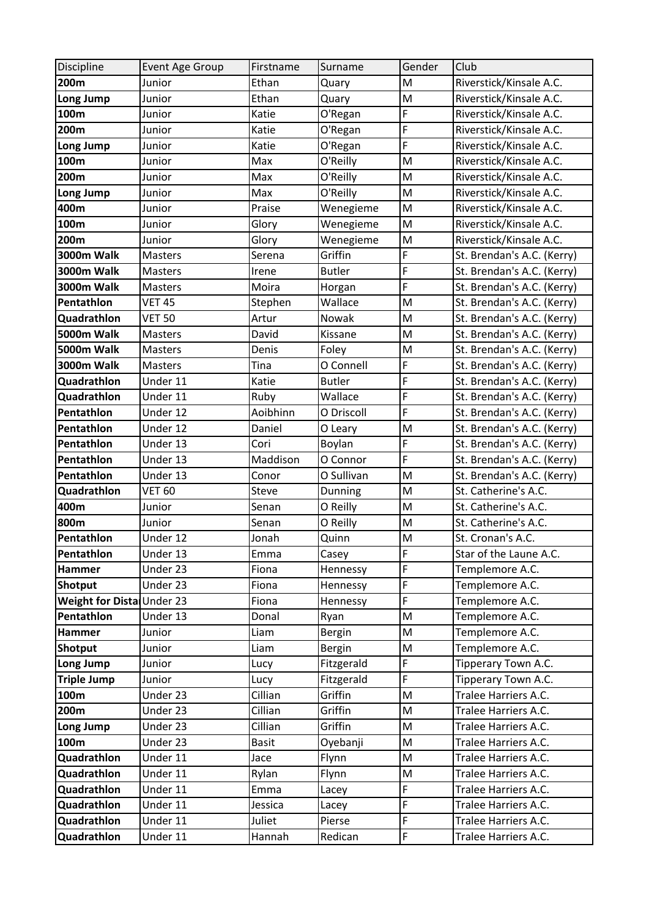| Discipline                              | Event Age Group        | Firstname     | Surname                 | Gender                                                                                                     | Club                               |
|-----------------------------------------|------------------------|---------------|-------------------------|------------------------------------------------------------------------------------------------------------|------------------------------------|
| 200m                                    | Junior                 | Ethan         | Quary                   | M                                                                                                          | Riverstick/Kinsale A.C.            |
| Long Jump                               | Junior                 | Ethan         | Quary                   | $\mathsf{M}$                                                                                               | Riverstick/Kinsale A.C.            |
| 100m                                    | Junior                 | Katie         | O'Regan                 | F                                                                                                          | Riverstick/Kinsale A.C.            |
| 200m                                    | Junior                 | Katie         | O'Regan                 | F                                                                                                          | Riverstick/Kinsale A.C.            |
| Long Jump                               | Junior                 | Katie         | O'Regan                 | F                                                                                                          | Riverstick/Kinsale A.C.            |
| 100m                                    | Junior                 | Max           | O'Reilly                | M                                                                                                          | Riverstick/Kinsale A.C.            |
| 200m                                    | Junior                 | Max           | O'Reilly                | M                                                                                                          | Riverstick/Kinsale A.C.            |
| Long Jump                               | Junior                 | Max           | O'Reilly                | M                                                                                                          | Riverstick/Kinsale A.C.            |
| 400m                                    | Junior                 | Praise        | Wenegieme               | M                                                                                                          | Riverstick/Kinsale A.C.            |
| 100m                                    | Junior                 | Glory         | Wenegieme               | M                                                                                                          | Riverstick/Kinsale A.C.            |
| 200m                                    | Junior                 | Glory         | Wenegieme               | $\mathsf{M}% _{T}=\mathsf{M}_{T}\!\left( a,b\right) ,\ \mathsf{M}_{T}=\mathsf{M}_{T}$                      | Riverstick/Kinsale A.C.            |
| <b>3000m Walk</b>                       | <b>Masters</b>         | Serena        | Griffin                 | F                                                                                                          | St. Brendan's A.C. (Kerry)         |
| <b>3000m Walk</b>                       | Masters                | Irene         | <b>Butler</b>           | F                                                                                                          | St. Brendan's A.C. (Kerry)         |
| <b>3000m Walk</b>                       | <b>Masters</b>         | Moira         | Horgan                  | F                                                                                                          | St. Brendan's A.C. (Kerry)         |
| Pentathlon                              | <b>VET 45</b>          | Stephen       | Wallace                 | M                                                                                                          | St. Brendan's A.C. (Kerry)         |
| Quadrathlon                             | <b>VET 50</b>          | Artur         | Nowak                   | M                                                                                                          | St. Brendan's A.C. (Kerry)         |
| 5000m Walk                              | <b>Masters</b>         | David         | Kissane                 | $\mathsf{M}% _{T}=\mathsf{M}_{T}\!\left( a,b\right) ,\ \mathsf{M}_{T}=\mathsf{M}_{T}$                      | St. Brendan's A.C. (Kerry)         |
| 5000m Walk                              | <b>Masters</b>         | Denis         | Foley                   | M                                                                                                          | St. Brendan's A.C. (Kerry)         |
| <b>3000m Walk</b>                       | <b>Masters</b>         | Tina          | O Connell               | F                                                                                                          | St. Brendan's A.C. (Kerry)         |
| Quadrathlon                             | Under 11               | Katie         | <b>Butler</b>           | F                                                                                                          | St. Brendan's A.C. (Kerry)         |
| Quadrathlon                             | Under 11               | Ruby          | Wallace                 | F                                                                                                          | St. Brendan's A.C. (Kerry)         |
| Pentathlon                              | Under 12               | Aoibhinn      | O Driscoll              | F                                                                                                          | St. Brendan's A.C. (Kerry)         |
| Pentathlon                              | $\overline{U}$ nder 12 | Daniel        | O Leary                 | M                                                                                                          | St. Brendan's A.C. (Kerry)         |
| Pentathlon                              | Under 13               | Cori          | Boylan                  | F                                                                                                          | St. Brendan's A.C. (Kerry)         |
| Pentathlon                              | Under 13               | Maddison      | O Connor                | F                                                                                                          | St. Brendan's A.C. (Kerry)         |
| Pentathlon                              | Under 13               | Conor         | O Sullivan              | M                                                                                                          | St. Brendan's A.C. (Kerry)         |
| Quadrathlon                             | <b>VET 60</b>          | Steve         | Dunning                 | $\mathsf{M}% _{T}=\mathsf{M}_{T}\!\left( a,b\right) ,\ \mathsf{M}_{T}=\mathsf{M}_{T}$                      | St. Catherine's A.C.               |
| 400m                                    | Junior                 | Senan         | O Reilly                | $\mathsf{M}% _{T}=\mathsf{M}_{T}\!\left( a,b\right) ,\ \mathsf{M}_{T}=\mathsf{M}_{T}$                      | St. Catherine's A.C.               |
| 800m                                    | Junior                 | Senan         | O Reilly                | M                                                                                                          | St. Catherine's A.C.               |
| Pentathlon                              | Under 12               | Jonah         | Quinn                   | M                                                                                                          | St. Cronan's A.C.                  |
| Pentathlon                              | Under 13               | Emma          | Casey                   | F                                                                                                          | Star of the Laune A.C.             |
| Hammer                                  | Under 23               | Fiona         | Hennessy                | F                                                                                                          | Templemore A.C.                    |
| Shotput                                 | Under 23               | Fiona         | Hennessy                | F<br>F                                                                                                     | Templemore A.C.                    |
| Weight for Dista Under 23<br>Pentathlon | Under 13               | Fiona         | Hennessy                | M                                                                                                          | Templemore A.C.<br>Templemore A.C. |
| Hammer                                  | Junior                 | Donal<br>Liam | Ryan                    | M                                                                                                          | Templemore A.C.                    |
| Shotput                                 | Junior                 | Liam          | Bergin<br><b>Bergin</b> | M                                                                                                          | Templemore A.C.                    |
| Long Jump                               | Junior                 | Lucy          | Fitzgerald              | F                                                                                                          | Tipperary Town A.C.                |
| <b>Triple Jump</b>                      | Junior                 | Lucy          | Fitzgerald              | F                                                                                                          | Tipperary Town A.C.                |
| 100m                                    | Under 23               | Cillian       | Griffin                 | M                                                                                                          | Tralee Harriers A.C.               |
| 200m                                    | Under 23               | Cillian       | Griffin                 | M                                                                                                          | Tralee Harriers A.C.               |
| Long Jump                               | Under 23               | Cillian       | Griffin                 | M                                                                                                          | Tralee Harriers A.C.               |
| 100m                                    | Under 23               | <b>Basit</b>  | Oyebanji                | $\mathsf{M}% _{T}=\mathsf{M}_{T}\!\left( a,b\right) ,\ \mathsf{M}_{T}=\mathsf{M}_{T}\!\left( a,b\right) ,$ | Tralee Harriers A.C.               |
| Quadrathlon                             | Under 11               | Jace          | Flynn                   | $\mathsf{M}% _{T}=\mathsf{M}_{T}\!\left( a,b\right) ,\ \mathsf{M}_{T}=\mathsf{M}_{T}$                      | Tralee Harriers A.C.               |
| Quadrathlon                             | Under 11               | Rylan         | Flynn                   | M                                                                                                          | Tralee Harriers A.C.               |
| Quadrathlon                             | Under 11               | Emma          | Lacey                   | F                                                                                                          | Tralee Harriers A.C.               |
| Quadrathlon                             | Under 11               | Jessica       | Lacey                   | F                                                                                                          | Tralee Harriers A.C.               |
| Quadrathlon                             | Under 11               | Juliet        | Pierse                  | F                                                                                                          | Tralee Harriers A.C.               |
| Quadrathlon                             | Under 11               | Hannah        | Redican                 | F                                                                                                          | Tralee Harriers A.C.               |
|                                         |                        |               |                         |                                                                                                            |                                    |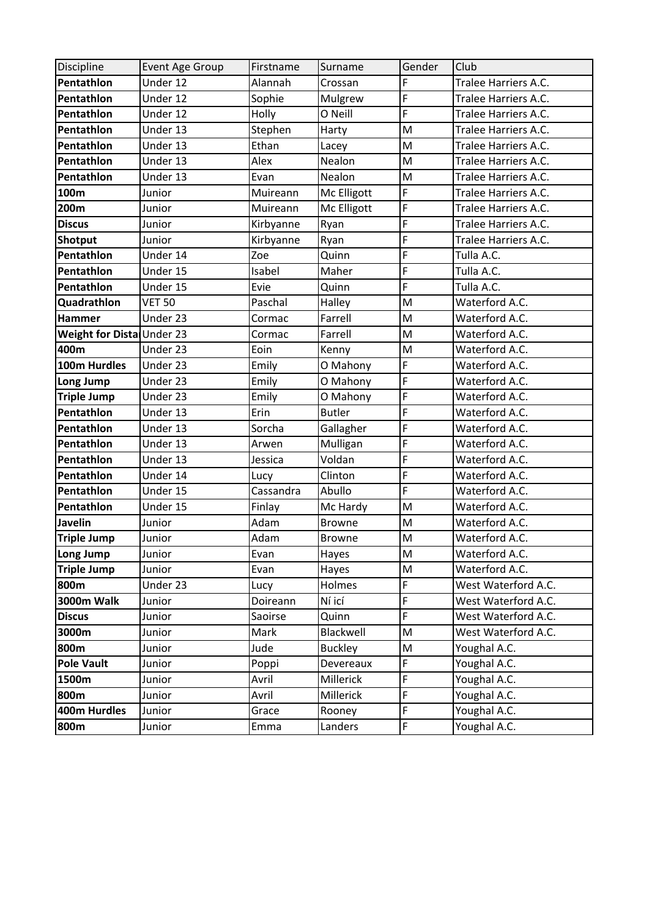| Discipline                | Event Age Group | Firstname | Surname        | Gender                                                                                | Club                 |
|---------------------------|-----------------|-----------|----------------|---------------------------------------------------------------------------------------|----------------------|
| Pentathlon                | Under 12        | Alannah   | Crossan        | F                                                                                     | Tralee Harriers A.C. |
| Pentathlon                | Under 12        | Sophie    | Mulgrew        | F                                                                                     | Tralee Harriers A.C. |
| Pentathlon                | Under 12        | Holly     | O Neill        | F                                                                                     | Tralee Harriers A.C. |
| Pentathlon                | Under 13        | Stephen   | Harty          | M                                                                                     | Tralee Harriers A.C. |
| Pentathlon                | Under 13        | Ethan     | Lacey          | M                                                                                     | Tralee Harriers A.C. |
| Pentathlon                | Under 13        | Alex      | Nealon         | M                                                                                     | Tralee Harriers A.C. |
| Pentathlon                | Under 13        | Evan      | Nealon         | M                                                                                     | Tralee Harriers A.C. |
| 100m                      | Junior          | Muireann  | Mc Elligott    | F                                                                                     | Tralee Harriers A.C. |
| 200m                      | Junior          | Muireann  | Mc Elligott    | F                                                                                     | Tralee Harriers A.C. |
| <b>Discus</b>             | Junior          | Kirbyanne | Ryan           | F                                                                                     | Tralee Harriers A.C. |
| Shotput                   | Junior          | Kirbyanne | Ryan           | F                                                                                     | Tralee Harriers A.C. |
| Pentathlon                | Under 14        | Zoe       | Quinn          | F                                                                                     | Tulla A.C.           |
| Pentathlon                | Under 15        | Isabel    | Maher          | F                                                                                     | Tulla A.C.           |
| Pentathlon                | Under 15        | Evie      | Quinn          | F                                                                                     | Tulla A.C.           |
| Quadrathlon               | <b>VET 50</b>   | Paschal   | Halley         | M                                                                                     | Waterford A.C.       |
| <b>Hammer</b>             | Under 23        | Cormac    | Farrell        | M                                                                                     | Waterford A.C.       |
| Weight for Dista Under 23 |                 | Cormac    | Farrell        | M                                                                                     | Waterford A.C.       |
| 400m                      | Under 23        | Eoin      | Kenny          | M                                                                                     | Waterford A.C.       |
| 100m Hurdles              | Under 23        | Emily     | O Mahony       | F                                                                                     | Waterford A.C.       |
| Long Jump                 | Under 23        | Emily     | O Mahony       | F                                                                                     | Waterford A.C.       |
| <b>Triple Jump</b>        | Under 23        | Emily     | O Mahony       | F                                                                                     | Waterford A.C.       |
| Pentathlon                | Under 13        | Erin      | <b>Butler</b>  | F                                                                                     | Waterford A.C.       |
| Pentathlon                | Under 13        | Sorcha    | Gallagher      | F                                                                                     | Waterford A.C.       |
| Pentathlon                | Under 13        | Arwen     | Mulligan       | F                                                                                     | Waterford A.C.       |
| Pentathlon                | Under 13        | Jessica   | Voldan         | F                                                                                     | Waterford A.C.       |
| Pentathlon                | Under 14        | Lucy      | Clinton        | F                                                                                     | Waterford A.C.       |
| Pentathlon                | Under 15        | Cassandra | Abullo         | F                                                                                     | Waterford A.C.       |
| Pentathlon                | Under 15        | Finlay    | Mc Hardy       | M                                                                                     | Waterford A.C.       |
| <b>Javelin</b>            | Junior          | Adam      | <b>Browne</b>  | M                                                                                     | Waterford A.C.       |
| <b>Triple Jump</b>        | Junior          | Adam      | <b>Browne</b>  | $\mathsf{M}% _{T}=\mathsf{M}_{T}\!\left( a,b\right) ,\ \mathsf{M}_{T}=\mathsf{M}_{T}$ | Waterford A.C.       |
| Long Jump                 | Junior          | Evan      | Hayes          | ${\sf M}$                                                                             | Waterford A.C.       |
| <b>Triple Jump</b>        | Junior          | Evan      | Hayes          | M                                                                                     | Waterford A.C.       |
| 800m                      | Under 23        | Lucy      | Holmes         | $\mathsf F$                                                                           | West Waterford A.C.  |
| <b>3000m Walk</b>         | Junior          | Doireann  | Ní icí         | F                                                                                     | West Waterford A.C.  |
| <b>Discus</b>             | Junior          | Saoirse   | Quinn          | F                                                                                     | West Waterford A.C.  |
| 3000m                     | Junior          | Mark      | Blackwell      | M                                                                                     | West Waterford A.C.  |
| 800m                      | Junior          | Jude      | <b>Buckley</b> | M                                                                                     | Youghal A.C.         |
| <b>Pole Vault</b>         | Junior          | Poppi     | Devereaux      | F                                                                                     | Youghal A.C.         |
| 1500m                     | Junior          | Avril     | Millerick      | F                                                                                     | Youghal A.C.         |
| 800m                      | Junior          | Avril     | Millerick      | F                                                                                     | Youghal A.C.         |
| 400m Hurdles              | Junior          | Grace     | Rooney         | F                                                                                     | Youghal A.C.         |
| 800m                      | Junior          | Emma      | Landers        | $\mathsf F$                                                                           | Youghal A.C.         |